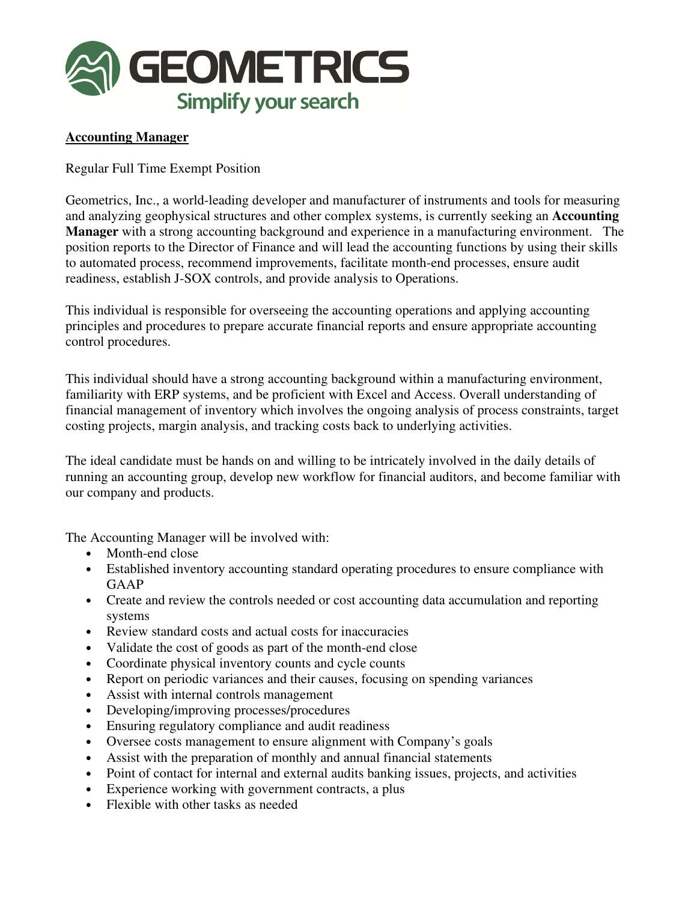

## **Accounting Manager**

Regular Full Time Exempt Position

Geometrics, Inc., a world-leading developer and manufacturer of instruments and tools for measuring and analyzing geophysical structures and other complex systems, is currently seeking an **Accounting Manager** with a strong accounting background and experience in a manufacturing environment. The position reports to the Director of Finance and will lead the accounting functions by using their skills to automated process, recommend improvements, facilitate month-end processes, ensure audit readiness, establish J-SOX controls, and provide analysis to Operations.

This individual is responsible for overseeing the accounting operations and applying accounting principles and procedures to prepare accurate financial reports and ensure appropriate accounting control procedures.

This individual should have a strong accounting background within a manufacturing environment, familiarity with ERP systems, and be proficient with Excel and Access. Overall understanding of financial management of inventory which involves the ongoing analysis of process constraints, target costing projects, margin analysis, and tracking costs back to underlying activities.

The ideal candidate must be hands on and willing to be intricately involved in the daily details of running an accounting group, develop new workflow for financial auditors, and become familiar with our company and products.

The Accounting Manager will be involved with:

- Month-end close
- Established inventory accounting standard operating procedures to ensure compliance with GAAP
- Create and review the controls needed or cost accounting data accumulation and reporting systems
- Review standard costs and actual costs for inaccuracies
- Validate the cost of goods as part of the month-end close
- Coordinate physical inventory counts and cycle counts
- Report on periodic variances and their causes, focusing on spending variances
- Assist with internal controls management
- Developing/improving processes/procedures
- Ensuring regulatory compliance and audit readiness
- Oversee costs management to ensure alignment with Company's goals
- Assist with the preparation of monthly and annual financial statements
- Point of contact for internal and external audits banking issues, projects, and activities
- Experience working with government contracts, a plus
- Flexible with other tasks as needed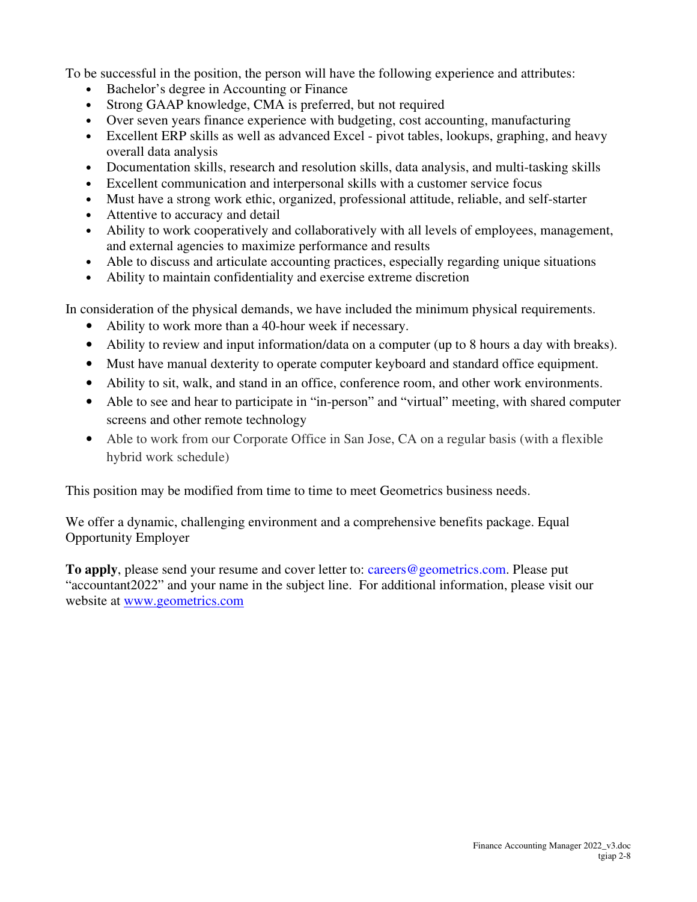To be successful in the position, the person will have the following experience and attributes:

- Bachelor's degree in Accounting or Finance
- Strong GAAP knowledge, CMA is preferred, but not required
- Over seven years finance experience with budgeting, cost accounting, manufacturing
- Excellent ERP skills as well as advanced Excel pivot tables, lookups, graphing, and heavy overall data analysis
- Documentation skills, research and resolution skills, data analysis, and multi-tasking skills
- Excellent communication and interpersonal skills with a customer service focus
- Must have a strong work ethic, organized, professional attitude, reliable, and self-starter
- Attentive to accuracy and detail
- Ability to work cooperatively and collaboratively with all levels of employees, management, and external agencies to maximize performance and results
- Able to discuss and articulate accounting practices, especially regarding unique situations
- Ability to maintain confidentiality and exercise extreme discretion

In consideration of the physical demands, we have included the minimum physical requirements.

- Ability to work more than a 40-hour week if necessary.
- Ability to review and input information/data on a computer (up to 8 hours a day with breaks).
- Must have manual dexterity to operate computer keyboard and standard office equipment.
- Ability to sit, walk, and stand in an office, conference room, and other work environments.
- Able to see and hear to participate in "in-person" and "virtual" meeting, with shared computer screens and other remote technology
- Able to work from our Corporate Office in San Jose, CA on a regular basis (with a flexible hybrid work schedule)

This position may be modified from time to time to meet Geometrics business needs.

We offer a dynamic, challenging environment and a comprehensive benefits package. Equal Opportunity Employer

**To apply**, please send your resume and cover letter to: careers@geometrics.com. Please put "accountant2022" and your name in the subject line. For additional information, please visit our website at www.geometrics.com